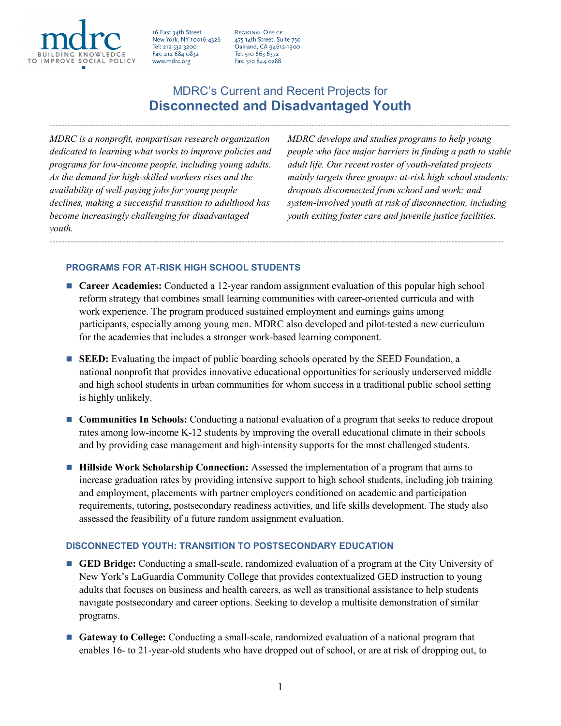

16 East 34th Street New York, NY 10016-4326 Tel: 212 532 3200 Fax: 212 684 0832 www.mdrc.org

REGIONAL OFFICE: 475 14th Street, Suite 750 Oakland, CA 94612-1900 Tel: 510 663 6372 Fax: 510 844 0288

# MDRC's Current and Recent Projects for **Disconnected and Disadvantaged Youth**

-------------------------------------------------------------------------------------------------------------------------------------------------------

*MDRC is a nonprofit, nonpartisan research organization dedicated to learning what works to improve policies and programs for low-income people, including young adults. As the demand for high-skilled workers rises and the availability of well-paying jobs for young people declines, making a successful transition to adulthood has become increasingly challenging for disadvantaged youth.* 

*MDRC develops and studies programs to help young people who face major barriers in finding a path to stable adult life. Our recent roster of youth-related projects mainly targets three groups: at-risk high school students; dropouts disconnected from school and work; and system-involved youth at risk of disconnection, including youth exiting foster care and juvenile justice facilities.*

## **PROGRAMS FOR AT-RISK HIGH SCHOOL STUDENTS**

■ **Career Academies:** Conducted a 12-year random assignment evaluation of this popular high school reform strategy that combines small learning communities with career-oriented curricula and with work experience. The program produced sustained employment and earnings gains among participants, especially among young men. MDRC also developed and pilot-tested a new curriculum for the academies that includes a stronger work-based learning component.

-----------------------------------------------------------------------------------------------------------------------------------------------------

- **SEED:** Evaluating the impact of public boarding schools operated by the SEED Foundation, a national nonprofit that provides innovative educational opportunities for seriously underserved middle and high school students in urban communities for whom success in a traditional public school setting is highly unlikely.
- **Communities In Schools:** Conducting a national evaluation of a program that seeks to reduce dropout rates among low-income K-12 students by improving the overall educational climate in their schools and by providing case management and high-intensity supports for the most challenged students.
- **Hillside Work Scholarship Connection:** Assessed the implementation of a program that aims to increase graduation rates by providing intensive support to high school students, including job training and employment, placements with partner employers conditioned on academic and participation requirements, tutoring, postsecondary readiness activities, and life skills development. The study also assessed the feasibility of a future random assignment evaluation.

## **DISCONNECTED YOUTH: TRANSITION TO POSTSECONDARY EDUCATION**

- **GED Bridge:** Conducting a small-scale, randomized evaluation of a program at the City University of New York's LaGuardia Community College that provides contextualized GED instruction to young adults that focuses on business and health careers, as well as transitional assistance to help students navigate postsecondary and career options. Seeking to develop a multisite demonstration of similar programs.
- **Gateway to College:** Conducting a small-scale, randomized evaluation of a national program that enables 16- to 21-year-old students who have dropped out of school, or are at risk of dropping out, to